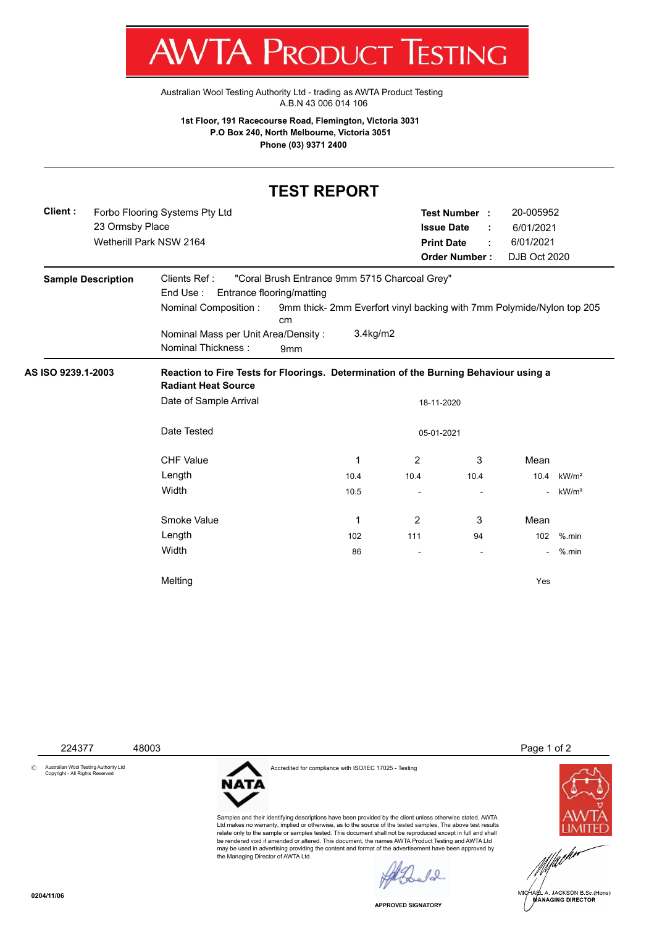T W VI/VI KUDUCT IESHING

[Australian Wool Testing Authority Ltd - trading as AWTA Product Testing](http://www.awtaproducttesting.com.au/) A.B.N 43 006 014 106

**1st Floor, 191 Racecourse Road, Flemington, Victoria 3031 P.O Box 240, North Melbourne, Victoria 3051 Phone (03) 9371 2400**

## **TEST REPORT**

| Client:            | Forbo Flooring Systems Pty Ltd<br>23 Ormsby Place<br>Wetherill Park NSW 2164 |                                                               |                             |                                                                                      | 20-005952<br>Test Number :<br><b>Issue Date</b><br>6/01/2021     |           |                   |  |  |
|--------------------|------------------------------------------------------------------------------|---------------------------------------------------------------|-----------------------------|--------------------------------------------------------------------------------------|------------------------------------------------------------------|-----------|-------------------|--|--|
|                    |                                                                              |                                                               |                             |                                                                                      |                                                                  | 6/01/2021 |                   |  |  |
|                    |                                                                              |                                                               |                             |                                                                                      | <b>Print Date</b><br><b>Order Number:</b><br><b>DJB Oct 2020</b> |           |                   |  |  |
|                    |                                                                              |                                                               |                             |                                                                                      |                                                                  |           |                   |  |  |
|                    | <b>Sample Description</b>                                                    | Clients Ref:<br>"Coral Brush Entrance 9mm 5715 Charcoal Grey" |                             |                                                                                      |                                                                  |           |                   |  |  |
|                    |                                                                              | End Use:<br>Entrance flooring/matting<br>Nominal Composition: | cm                          | 9mm thick-2mm Everfort vinyl backing with 7mm Polymide/Nylon top 205                 |                                                                  |           |                   |  |  |
|                    |                                                                              | Nominal Mass per Unit Area/Density:<br>Nominal Thickness:     | 3.4kg/m2<br>9 <sub>mm</sub> |                                                                                      |                                                                  |           |                   |  |  |
| AS ISO 9239.1-2003 |                                                                              | <b>Radiant Heat Source</b>                                    |                             | Reaction to Fire Tests for Floorings. Determination of the Burning Behaviour using a |                                                                  |           |                   |  |  |
|                    |                                                                              | Date of Sample Arrival<br>18-11-2020                          |                             |                                                                                      |                                                                  |           |                   |  |  |
|                    |                                                                              | Date Tested<br>05-01-2021                                     |                             |                                                                                      |                                                                  |           |                   |  |  |
|                    |                                                                              | <b>CHF Value</b>                                              | 1                           | 2                                                                                    | 3                                                                | Mean      |                   |  |  |
|                    |                                                                              | Length                                                        | 10.4                        | 10.4                                                                                 | 10.4                                                             | 10.4      | kW/m <sup>2</sup> |  |  |
|                    |                                                                              | Width                                                         | 10.5                        |                                                                                      |                                                                  |           | kW/m <sup>2</sup> |  |  |
|                    |                                                                              | Smoke Value                                                   | 1                           | 2                                                                                    | 3                                                                | Mean      |                   |  |  |
|                    |                                                                              | Length                                                        | 102                         | 111                                                                                  | 94                                                               | 102       | $%$ .min          |  |  |
|                    |                                                                              | Width                                                         | 86                          |                                                                                      |                                                                  |           | %.min             |  |  |
|                    |                                                                              | Melting                                                       |                             |                                                                                      |                                                                  | Yes       |                   |  |  |



Ltd makes no warranty, implied or otherwise, as to the source of the tested samples. The above test results relate only to the sample or samples tested. This document shall not be reproduced except in full and shall be rendered void if amended or altered. This document, the names AWTA Product Testing and AWTA Ltd may be used in advertising providing the content and format of the advertisement have been approved by the Managing Director of AWTA Ltd.

 $\ell$ 

**APPROVED SIGNATORY**



**0204/11/06**